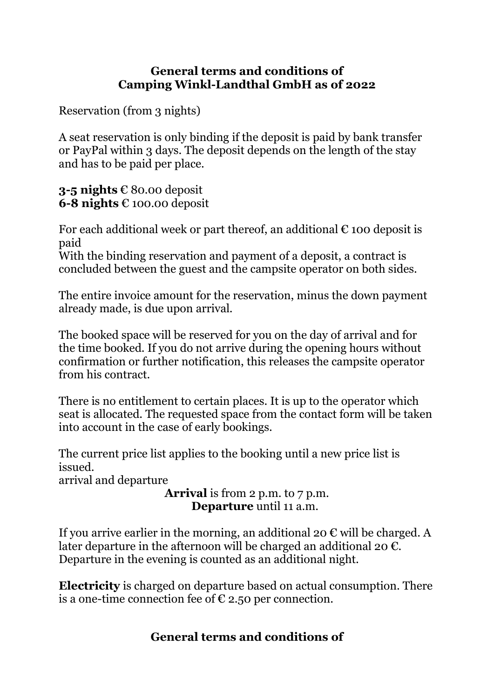## **General terms and conditions of Camping Winkl-Landthal GmbH as of 2022**

Reservation (from 3 nights)

A seat reservation is only binding if the deposit is paid by bank transfer or PayPal within 3 days. The deposit depends on the length of the stay and has to be paid per place.

**3-5 nights** € 80.00 deposit **6-8 nights** € 100.00 deposit

For each additional week or part thereof, an additional  $\epsilon$  100 deposit is paid

With the binding reservation and payment of a deposit, a contract is concluded between the guest and the campsite operator on both sides.

The entire invoice amount for the reservation, minus the down payment already made, is due upon arrival.

The booked space will be reserved for you on the day of arrival and for the time booked. If you do not arrive during the opening hours without confirmation or further notification, this releases the campsite operator from his contract.

There is no entitlement to certain places. It is up to the operator which seat is allocated. The requested space from the contact form will be taken into account in the case of early bookings.

The current price list applies to the booking until a new price list is issued.

arrival and departure

**Arrival** is from 2 p.m. to 7 p.m.  **Departure** until 11 a.m.

If you arrive earlier in the morning, an additional 20  $\epsilon$  will be charged. A later departure in the afternoon will be charged an additional 20  $\epsilon$ . Departure in the evening is counted as an additional night.

**Electricity** is charged on departure based on actual consumption. There is a one-time connection fee of  $\epsilon$  2.50 per connection.

## **General terms and conditions of**